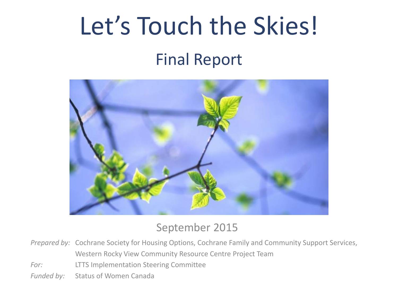# Let's Touch the Skies!

## Final Report



#### September 2015

*Prepared by:* Cochrane Society for Housing Options, Cochrane Family and Community Support Services, Western Rocky View Community Resource Centre Project Team

*For:* LTTS Implementation Steering Committee

Funded by: Status of Women Canada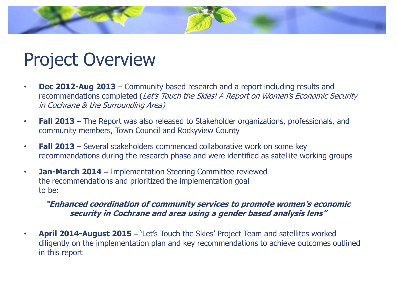## Project Overview

- **Dec 2012-Aug 2013**  Community based research and a report including results and recommendations completed (Let's Touch the Skies! A Report on Women's Economic Security in Cochrane & the Surrounding Area)
- **Fall 2013**  The Report was also released to Stakeholder organizations, professionals, and community members, Town Council and Rockyview County
- **Fall 2013**  Several stakeholders commenced collaborative work on some key recommendations during the research phase and were identified as satellite working groups
- **Jan-March 2014**  Implementation Steering Committee reviewed the recommendations and prioritized the implementation goal to be:

#### **"Enhanced coordination of community services to promote women's economic security in Cochrane and area using a gender based analysis lens"**

• **April 2014-August 2015** – 'Let's Touch the Skies' Project Team and satellites worked diligently on the implementation plan and key recommendations to achieve outcomes outlined in this report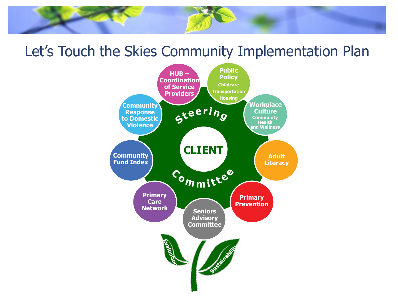### Let's Touch the Skies Community Implementation Plan

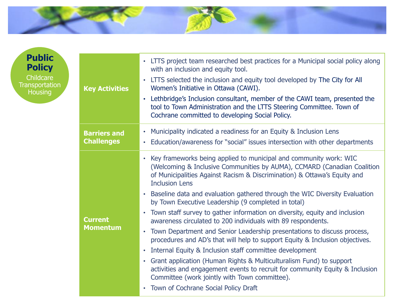

| <b>Key Activities</b>                    | • LTTS project team researched best practices for a Municipal social policy along<br>with an inclusion and equity tool.<br>LTTS selected the inclusion and equity tool developed by The City for All<br>Women's Initiative in Ottawa (CAWI).<br>Lethbridge's Inclusion consultant, member of the CAWI team, presented the<br>tool to Town Administration and the LTTS Steering Committee. Town of<br>Cochrane committed to developing Social Policy.                                                                                                                                                                                                                                                                                                                                                                                                                                                                                                                                                                                                                        |  |  |
|------------------------------------------|-----------------------------------------------------------------------------------------------------------------------------------------------------------------------------------------------------------------------------------------------------------------------------------------------------------------------------------------------------------------------------------------------------------------------------------------------------------------------------------------------------------------------------------------------------------------------------------------------------------------------------------------------------------------------------------------------------------------------------------------------------------------------------------------------------------------------------------------------------------------------------------------------------------------------------------------------------------------------------------------------------------------------------------------------------------------------------|--|--|
| <b>Barriers and</b><br><b>Challenges</b> | Municipality indicated a readiness for an Equity & Inclusion Lens<br>$\bullet$<br>Education/awareness for "social" issues intersection with other departments<br>$\bullet$                                                                                                                                                                                                                                                                                                                                                                                                                                                                                                                                                                                                                                                                                                                                                                                                                                                                                                  |  |  |
| <b>Current</b><br><b>Momentum</b>        | Key frameworks being applied to municipal and community work: WIC<br>(Welcoming & Inclusive Communities by AUMA), CCMARD (Canadian Coalition<br>of Municipalities Against Racism & Discrimination) & Ottawa's Equity and<br><b>Inclusion Lens</b><br>Baseline data and evaluation gathered through the WIC Diversity Evaluation<br>$\bullet$<br>by Town Executive Leadership (9 completed in total)<br>Town staff survey to gather information on diversity, equity and inclusion<br>$\bullet$<br>awareness circulated to 200 individuals with 89 respondents.<br>Town Department and Senior Leadership presentations to discuss process,<br>$\bullet$<br>procedures and AD's that will help to support Equity & Inclusion objectives.<br>Internal Equity & Inclusion staff committee development<br>Grant application (Human Rights & Multiculturalism Fund) to support<br>$\bullet$<br>activities and engagement events to recruit for community Equity & Inclusion<br>Committee (work jointly with Town committee).<br>Town of Cochrane Social Policy Draft<br>$\bullet$ |  |  |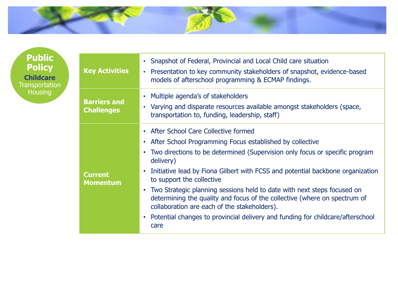

| <b>Key Activities</b>                    | • Snapshot of Federal, Provincial and Local Child care situation<br>Presentation to key community stakeholders of snapshot, evidence-based<br>$\bullet$<br>models of afterschool programming & ECMAP findings.                                                                                                                                                                                                                                                                                                                                                                                                                           |  |  |
|------------------------------------------|------------------------------------------------------------------------------------------------------------------------------------------------------------------------------------------------------------------------------------------------------------------------------------------------------------------------------------------------------------------------------------------------------------------------------------------------------------------------------------------------------------------------------------------------------------------------------------------------------------------------------------------|--|--|
| <b>Barriers and</b><br><b>Challenges</b> | Multiple agenda's of stakeholders<br>$\bullet$<br>Varying and disparate resources available amongst stakeholders (space,<br>transportation to, funding, leadership, staff)                                                                                                                                                                                                                                                                                                                                                                                                                                                               |  |  |
| <b>Current</b><br><b>Momentum</b>        | • After School Care Collective formed<br>After School Programming Focus established by collective<br>$\bullet$<br>Two directions to be determined (Supervision only focus or specific program<br>delivery)<br>Initiative lead by Fiona Gilbert with FCSS and potential backbone organization<br>to support the collective<br>Two Strategic planning sessions held to date with next steps focused on<br>determining the quality and focus of the collective (where on spectrum of<br>collaboration are each of the stakeholders).<br>Potential changes to provincial delivery and funding for childcare/afterschool<br>$\bullet$<br>care |  |  |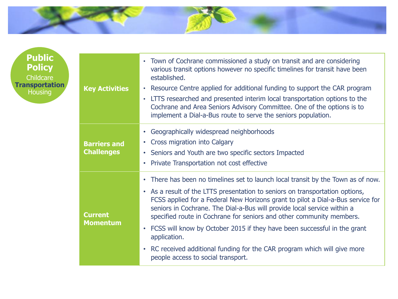

| <b>Key Activities</b>                    | • Town of Cochrane commissioned a study on transit and are considering<br>various transit options however no specific timelines for transit have been<br>established.<br>Resource Centre applied for additional funding to support the CAR program<br>$\bullet$<br>LTTS researched and presented interim local transportation options to the<br>$\bullet$<br>Cochrane and Area Seniors Advisory Committee. One of the options is to<br>implement a Dial-a-Bus route to serve the seniors population.                                                                                                                                                     |  |  |  |
|------------------------------------------|----------------------------------------------------------------------------------------------------------------------------------------------------------------------------------------------------------------------------------------------------------------------------------------------------------------------------------------------------------------------------------------------------------------------------------------------------------------------------------------------------------------------------------------------------------------------------------------------------------------------------------------------------------|--|--|--|
| <b>Barriers and</b><br><b>Challenges</b> | Geographically widespread neighborhoods<br>$\bullet$<br>Cross migration into Calgary<br>$\bullet$<br>Seniors and Youth are two specific sectors Impacted<br>Private Transportation not cost effective<br>$\bullet$                                                                                                                                                                                                                                                                                                                                                                                                                                       |  |  |  |
| <b>Current</b><br><b>Momentum</b>        | There has been no timelines set to launch local transit by the Town as of now.<br>$\bullet$<br>• As a result of the LTTS presentation to seniors on transportation options,<br>FCSS applied for a Federal New Horizons grant to pilot a Dial-a-Bus service for<br>seniors in Cochrane. The Dial-a-Bus will provide local service within a<br>specified route in Cochrane for seniors and other community members.<br>FCSS will know by October 2015 if they have been successful in the grant<br>$\bullet$<br>application.<br>RC received additional funding for the CAR program which will give more<br>$\bullet$<br>people access to social transport. |  |  |  |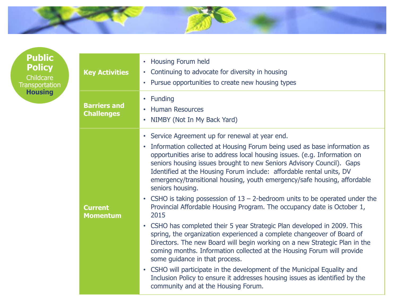

| <b>Key Activities</b>                    | <b>Housing Forum held</b><br>$\bullet$<br>Continuing to advocate for diversity in housing<br>$\bullet$<br>Pursue opportunities to create new housing types                                                                                                                                                                                                                                                                                                                                                                                                                                                                                                                                                                                                                                                                                                                                                                                                                                                                                                                                                                                                                                                                      |  |  |
|------------------------------------------|---------------------------------------------------------------------------------------------------------------------------------------------------------------------------------------------------------------------------------------------------------------------------------------------------------------------------------------------------------------------------------------------------------------------------------------------------------------------------------------------------------------------------------------------------------------------------------------------------------------------------------------------------------------------------------------------------------------------------------------------------------------------------------------------------------------------------------------------------------------------------------------------------------------------------------------------------------------------------------------------------------------------------------------------------------------------------------------------------------------------------------------------------------------------------------------------------------------------------------|--|--|
| <b>Barriers and</b><br><b>Challenges</b> | Funding<br>$\bullet$<br><b>Human Resources</b><br>NIMBY (Not In My Back Yard)                                                                                                                                                                                                                                                                                                                                                                                                                                                                                                                                                                                                                                                                                                                                                                                                                                                                                                                                                                                                                                                                                                                                                   |  |  |
| <b>Current</b><br><b>Momentum</b>        | Service Agreement up for renewal at year end.<br>$\bullet$<br>Information collected at Housing Forum being used as base information as<br>$\bullet$<br>opportunities arise to address local housing issues. (e.g. Information on<br>seniors housing issues brought to new Seniors Advisory Council). Gaps<br>Identified at the Housing Forum include: affordable rental units, DV<br>emergency/transitional housing, youth emergency/safe housing, affordable<br>seniors housing.<br>CSHO is taking possession of $13 - 2$ -bedroom units to be operated under the<br>$\bullet$<br>Provincial Affordable Housing Program. The occupancy date is October 1,<br>2015<br>• CSHO has completed their 5 year Strategic Plan developed in 2009. This<br>spring, the organization experienced a complete changeover of Board of<br>Directors. The new Board will begin working on a new Strategic Plan in the<br>coming months. Information collected at the Housing Forum will provide<br>some guidance in that process.<br>CSHO will participate in the development of the Municipal Equality and<br>$\bullet$<br>Inclusion Policy to ensure it addresses housing issues as identified by the<br>community and at the Housing Forum. |  |  |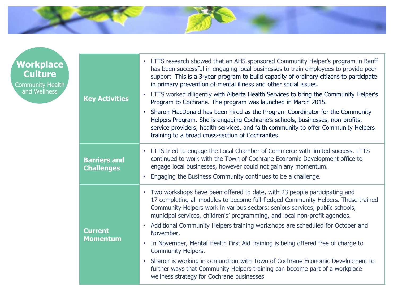

| <b>Workplace</b><br>Culture<br>Community Health<br>and Wellness | <b>Key Activities</b>                    | • LTTS research showed that an AHS sponsored Community Helper's program in Banff<br>has been successful in engaging local businesses to train employees to provide peer<br>support. This is a 3-year program to build capacity of ordinary citizens to participate<br>in primary prevention of mental illness and other social issues.<br>LTTS worked diligently with Alberta Health Services to bring the Community Helper's<br>Program to Cochrane. The program was launched in March 2015.<br>Sharon MacDonald has been hired as the Program Coordinator for the Community<br>Helpers Program. She is engaging Cochrane's schools, businesses, non-profits,<br>service providers, health services, and faith community to offer Community Helpers<br>training to a broad cross-section of Cochranites. |
|-----------------------------------------------------------------|------------------------------------------|-----------------------------------------------------------------------------------------------------------------------------------------------------------------------------------------------------------------------------------------------------------------------------------------------------------------------------------------------------------------------------------------------------------------------------------------------------------------------------------------------------------------------------------------------------------------------------------------------------------------------------------------------------------------------------------------------------------------------------------------------------------------------------------------------------------|
|                                                                 | <b>Barriers and</b><br><b>Challenges</b> | • LTTS tried to engage the Local Chamber of Commerce with limited success. LTTS<br>continued to work with the Town of Cochrane Economic Development office to<br>engage local businesses, however could not gain any momentum.<br>Engaging the Business Community continues to be a challenge.                                                                                                                                                                                                                                                                                                                                                                                                                                                                                                            |
|                                                                 | <b>Current</b><br><b>Momentum</b>        | • Two workshops have been offered to date, with 23 people participating and<br>17 completing all modules to become full-fledged Community Helpers. These trained<br>Community Helpers work in various sectors: seniors services, public schools,<br>municipal services, children's' programming, and local non-profit agencies.<br>• Additional Community Helpers training workshops are scheduled for October and<br>November.<br>In November, Mental Health First Aid training is being offered free of charge to<br>$\bullet$<br><b>Community Helpers.</b><br>Sharon is working in conjunction with Town of Cochrane Economic Development to<br>$\bullet$<br>further ways that Community Helpers training can become part of a workplace<br>wellness strategy for Cochrane businesses.                 |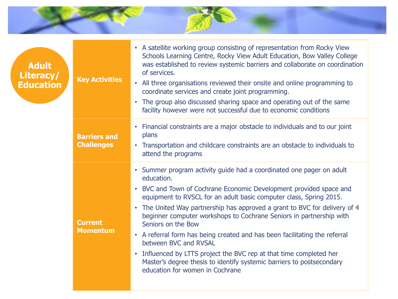

| <b>Adult</b><br>Literacy/<br><b>Education</b> | <b>Key Activities</b>                    | • A satellite working group consisting of representation from Rocky View<br>Schools Learning Centre, Rocky View Adult Education, Bow Valley College<br>was established to review systemic barriers and collaborate on coordination<br>of services.<br>• All three organisations reviewed their onsite and online programming to<br>coordinate services and create joint programming.<br>• The group also discussed sharing space and operating out of the same<br>facility however were not successful due to economic conditions                                                                                                                                                                   |
|-----------------------------------------------|------------------------------------------|-----------------------------------------------------------------------------------------------------------------------------------------------------------------------------------------------------------------------------------------------------------------------------------------------------------------------------------------------------------------------------------------------------------------------------------------------------------------------------------------------------------------------------------------------------------------------------------------------------------------------------------------------------------------------------------------------------|
|                                               | <b>Barriers and</b><br><b>Challenges</b> | • Financial constraints are a major obstacle to individuals and to our joint<br>plans<br>• Transportation and childcare constraints are an obstacle to individuals to<br>attend the programs                                                                                                                                                                                                                                                                                                                                                                                                                                                                                                        |
|                                               | <b>Current</b><br><b>Momentum</b>        | • Summer program activity guide had a coordinated one pager on adult<br>education.<br>• BVC and Town of Cochrane Economic Development provided space and<br>equipment to RVSCL for an adult basic computer class, Spring 2015.<br>• The United Way partnership has approved a grant to BVC for delivery of 4<br>beginner computer workshops to Cochrane Seniors in partnership with<br>Seniors on the Bow<br>• A referral form has being created and has been facilitating the referral<br>between BVC and RVSAL<br>• Influenced by LTTS project the BVC rep at that time completed her<br>Master's degree thesis to identify systemic barriers to postsecondary<br>education for women in Cochrane |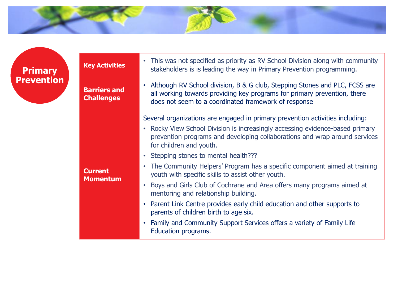

**Primary Prevention**

| <b>Key Activities</b>                    | • This was not specified as priority as RV School Division along with community<br>stakeholders is is leading the way in Primary Prevention programming.                                                                                                                                                                                                                                                                                                                                                                                                                                                                                                                                                                                                                                          |  |  |
|------------------------------------------|---------------------------------------------------------------------------------------------------------------------------------------------------------------------------------------------------------------------------------------------------------------------------------------------------------------------------------------------------------------------------------------------------------------------------------------------------------------------------------------------------------------------------------------------------------------------------------------------------------------------------------------------------------------------------------------------------------------------------------------------------------------------------------------------------|--|--|
| <b>Barriers and</b><br><b>Challenges</b> | • Although RV School division, B & G club, Stepping Stones and PLC, FCSS are<br>all working towards providing key programs for primary prevention, there<br>does not seem to a coordinated framework of response                                                                                                                                                                                                                                                                                                                                                                                                                                                                                                                                                                                  |  |  |
| <b>Current</b><br><b>Momentum</b>        | Several organizations are engaged in primary prevention activities including:<br>• Rocky View School Division is increasingly accessing evidence-based primary<br>prevention programs and developing collaborations and wrap around services<br>for children and youth.<br>• Stepping stones to mental health???<br>The Community Helpers' Program has a specific component aimed at training<br>٠<br>youth with specific skills to assist other youth.<br>Boys and Girls Club of Cochrane and Area offers many programs aimed at<br>mentoring and relationship building.<br>• Parent Link Centre provides early child education and other supports to<br>parents of children birth to age six.<br>• Family and Community Support Services offers a variety of Family Life<br>Education programs. |  |  |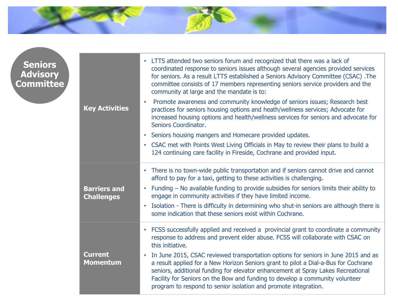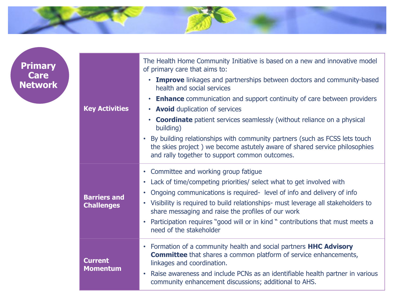

| <b>Primary</b><br>Care<br><b>Network</b> |                                          | The Health Home Community Initiative is based on a new and innovative model<br>of primary care that aims to:                                                                                                            |
|------------------------------------------|------------------------------------------|-------------------------------------------------------------------------------------------------------------------------------------------------------------------------------------------------------------------------|
|                                          |                                          | • Improve linkages and partnerships between doctors and community-based<br>health and social services                                                                                                                   |
|                                          |                                          | <b>Enhance</b> communication and support continuity of care between providers<br>$\bullet$                                                                                                                              |
|                                          | <b>Key Activities</b>                    | • Avoid duplication of services                                                                                                                                                                                         |
|                                          |                                          | <b>Coordinate</b> patient services seamlessly (without reliance on a physical<br>$\bullet$<br>building)                                                                                                                 |
|                                          |                                          | By building relationships with community partners (such as FCSS lets touch<br>$\bullet$<br>the skies project) we become astutely aware of shared service philosophies<br>and rally together to support common outcomes. |
|                                          | <b>Barriers and</b><br><b>Challenges</b> | • Committee and working group fatigue                                                                                                                                                                                   |
|                                          |                                          | • Lack of time/competing priorities/ select what to get involved with                                                                                                                                                   |
|                                          |                                          | Ongoing communications is required-level of info and delivery of info<br>$\bullet$                                                                                                                                      |
|                                          |                                          | • Visibility is required to build relationships- must leverage all stakeholders to<br>share messaging and raise the profiles of our work                                                                                |
|                                          |                                          | Participation requires "good will or in kind " contributions that must meets a<br>$\bullet$<br>need of the stakeholder                                                                                                  |
|                                          | <b>Current</b><br><b>Momentum</b>        | • Formation of a community health and social partners HHC Advisory<br><b>Committee</b> that shares a common platform of service enhancements,<br>linkages and coordination.                                             |
|                                          |                                          | Raise awareness and include PCNs as an identifiable health partner in various<br>$\bullet$<br>community enhancement discussions; additional to AHS.                                                                     |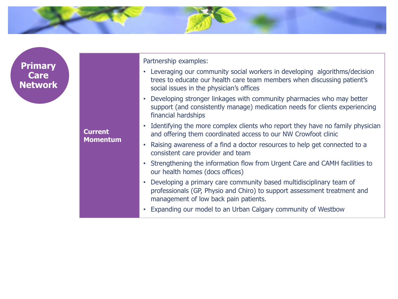

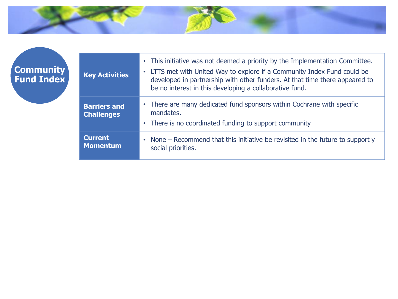

| <b>Key Activities</b>                    | • This initiative was not deemed a priority by the Implementation Committee.<br>• LTTS met with United Way to explore if a Community Index Fund could be<br>developed in partnership with other funders. At that time there appeared to<br>be no interest in this developing a collaborative fund. |  |
|------------------------------------------|----------------------------------------------------------------------------------------------------------------------------------------------------------------------------------------------------------------------------------------------------------------------------------------------------|--|
| <b>Barriers and</b><br><b>Challenges</b> | • There are many dedicated fund sponsors within Cochrane with specific<br>mandates.<br>• There is no coordinated funding to support community                                                                                                                                                      |  |
| <b>Current</b><br><b>Momentum</b>        | • None – Recommend that this initiative be revisited in the future to support y<br>social priorities.                                                                                                                                                                                              |  |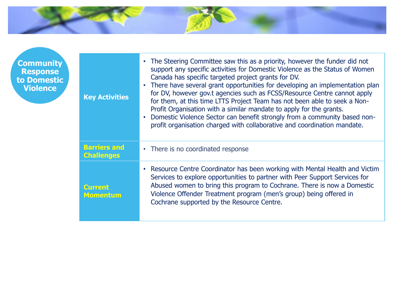

**Community Response to Domestic Violence**

| <b>Key Activities</b>                    | • The Steering Committee saw this as a priority, however the funder did not<br>support any specific activities for Domestic Violence as the Status of Women<br>Canada has specific targeted project grants for DV.<br>• There have several grant opportunities for developing an implementation plan<br>for DV, however gov.t agencies such as FCSS/Resource Centre cannot apply<br>for them, at this time LTTS Project Team has not been able to seek a Non-<br>Profit Organisation with a similar mandate to apply for the grants.<br>Domestic Violence Sector can benefit strongly from a community based non-<br>profit organisation charged with collaborative and coordination mandate. |
|------------------------------------------|-----------------------------------------------------------------------------------------------------------------------------------------------------------------------------------------------------------------------------------------------------------------------------------------------------------------------------------------------------------------------------------------------------------------------------------------------------------------------------------------------------------------------------------------------------------------------------------------------------------------------------------------------------------------------------------------------|
| <b>Barriers and</b><br><b>Challenges</b> | • There is no coordinated response                                                                                                                                                                                                                                                                                                                                                                                                                                                                                                                                                                                                                                                            |
| Current<br><b>Momentum</b>               | Resource Centre Coordinator has been working with Mental Health and Victim<br>Services to explore opportunities to partner with Peer Support Services for<br>Abused women to bring this program to Cochrane. There is now a Domestic<br>Violence Offender Treatment program (men's group) being offered in<br>Cochrane supported by the Resource Centre.                                                                                                                                                                                                                                                                                                                                      |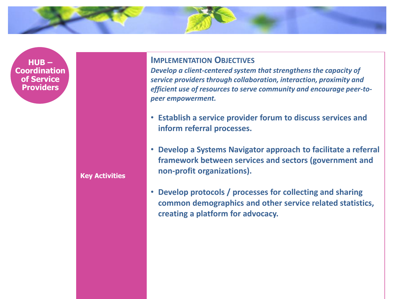**HUB – Coordination of Service Providers**

**Key Activities**

#### **IMPLEMENTATION OBJECTIVES**

*Develop a client-centered system that strengthens the capacity of service providers through collaboration, interaction, proximity and efficient use of resources to serve community and encourage peer-topeer empowerment.*

- **Establish a service provider forum to discuss services and inform referral processes.**
- **Develop a Systems Navigator approach to facilitate a referral framework between services and sectors (government and non-profit organizations).**
- **Develop protocols / processes for collecting and sharing common demographics and other service related statistics, creating a platform for advocacy.**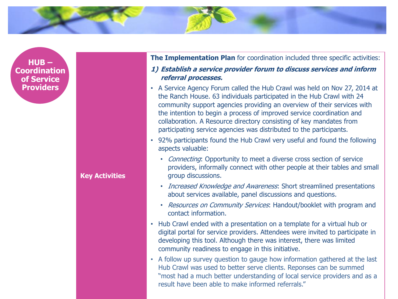

**HUB – Coordination of Service Providers**

#### **Key Activities**

**The Implementation Plan** for coordination included three specific activities:

#### **1) Establish a service provider forum to discuss services and inform referral processes.**

- A Service Agency Forum called the Hub Crawl was held on Nov 27, 2014 at the Ranch House. 63 individuals participated in the Hub Crawl with 24 community support agencies providing an overview of their services with the intention to begin a process of improved service coordination and collaboration. A Resource directory consisting of key mandates from participating service agencies was distributed to the participants.
- 92% participants found the Hub Crawl very useful and found the following aspects valuable:
	- Connecting: Opportunity to meet a diverse cross section of service providers, informally connect with other people at their tables and small group discussions.
	- *Increased Knowledge and Awareness*: Short streamlined presentations about services available, panel discussions and questions.
	- Resources on Community Services: Handout/booklet with program and contact information.
- Hub Crawl ended with a presentation on a template for a virtual hub or digital portal for service providers. Attendees were invited to participate in developing this tool. Although there was interest, there was limited community readiness to engage in this initiative.
- A follow up survey question to gauge how information gathered at the last Hub Crawl was used to better serve clients. Reponses can be summed "most had a much better understanding of local service providers and as a result have been able to make informed referrals."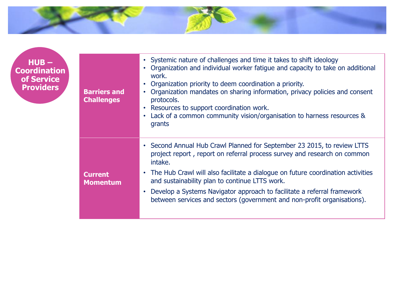

**HUB – Coordination of Service** 

| $HUB -$<br>pordination<br>of Service<br><b>Providers</b> | <b>Barriers and</b><br><b>Challenges</b> | • Systemic nature of challenges and time it takes to shift ideology<br>Organization and individual worker fatigue and capacity to take on additional<br>work.<br>Organization priority to deem coordination a priority.<br>Organization mandates on sharing information, privacy policies and consent<br>protocols.<br>Resources to support coordination work.<br>Lack of a common community vision/organisation to harness resources &<br>grants                    |
|----------------------------------------------------------|------------------------------------------|----------------------------------------------------------------------------------------------------------------------------------------------------------------------------------------------------------------------------------------------------------------------------------------------------------------------------------------------------------------------------------------------------------------------------------------------------------------------|
|                                                          | <b>Current</b><br><b>Momentum</b>        | Second Annual Hub Crawl Planned for September 23 2015, to review LTTS<br>project report, report on referral process survey and research on common<br>intake.<br>The Hub Crawl will also facilitate a dialogue on future coordination activities<br>$\bullet$<br>and sustainability plan to continue LTTS work.<br>Develop a Systems Navigator approach to facilitate a referral framework<br>between services and sectors (government and non-profit organisations). |
|                                                          |                                          |                                                                                                                                                                                                                                                                                                                                                                                                                                                                      |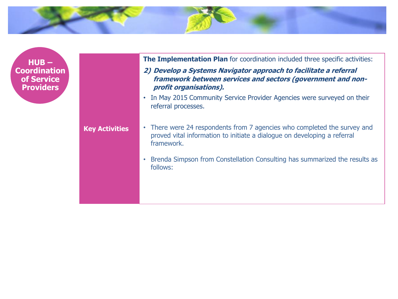

**HUB – Coordination of Service Providers**

**Key Activities**

**The Implementation Plan** for coordination included three specific activities:

- **2) Develop a Systems Navigator approach to facilitate a referral framework between services and sectors (government and nonprofit organisations).**
- In May 2015 Community Service Provider Agencies were surveyed on their referral processes.

• There were 24 respondents from 7 agencies who completed the survey and proved vital information to initiate a dialogue on developing a referral framework.

• Brenda Simpson from Constellation Consulting has summarized the results as follows: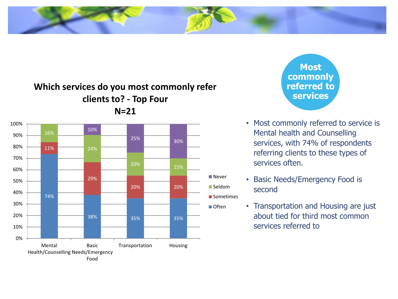#### **Which services do you most commonly refer clients to? - Top Four N=21**



**Most commonly referred to services**

- Most commonly referred to service is Mental health and Counselling services, with 74% of respondents referring clients to these types of services often.
- Basic Needs/Emergency Food is second
- Transportation and Housing are just about tied for third most common services referred to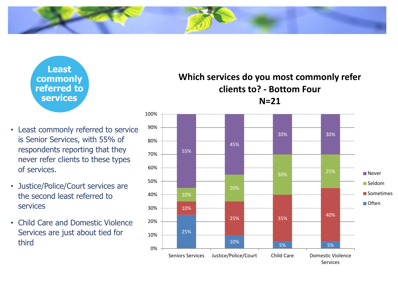**Least commonly referred to services**

- Least commonly referred to service is Senior Services, with 55% of respondents reporting that they never refer clients to these types of services.
- Justice/Police/Court services are the second least referred to services
- Child Care and Domestic Violence Services are just about tied for third

#### **Which services do you most commonly refer clients to? - Bottom Four N=21**

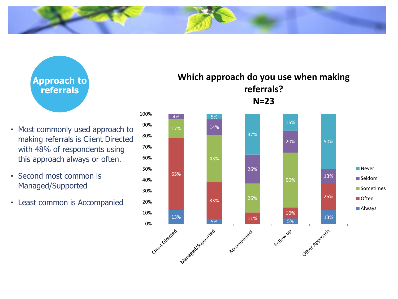

**Approach to referrals**

- Most commonly used approach to making referrals is Client Directed with 48% of respondents using this approach always or often.
- Second most common is Managed/Supported
- Least common is Accompanied

**Which approach do you use when making referrals? N=23**

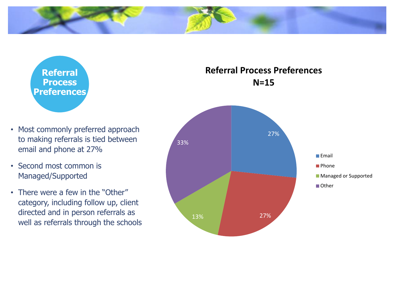

**Referral Process Preferences**

- Most commonly preferred approach to making referrals is tied between email and phone at 27%
- Second most common is Managed/Supported
- There were a few in the "Other" category, including follow up, client directed and in person referrals as well as referrals through the schools

#### **Referral Process Preferences N=15**

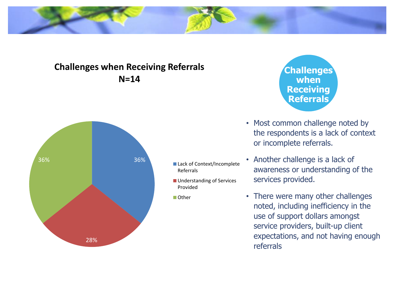#### **Challenges when Receiving Referrals N=14**



■ Lack of Context/Incomplete Referrals

**Understanding of Services** Provided

■ Other

**Challenges when Receiving Referrals**

- Most common challenge noted by the respondents is a lack of context or incomplete referrals.
- Another challenge is a lack of awareness or understanding of the services provided.
- There were many other challenges noted, including inefficiency in the use of support dollars amongst service providers, built-up client expectations, and not having enough referrals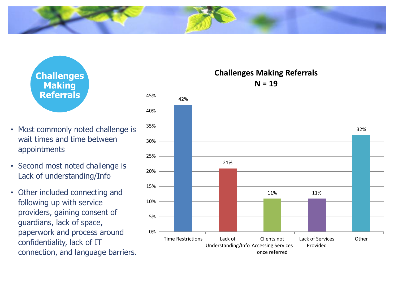

- Most commonly noted challenge is wait times and time between appointments
- Second most noted challenge is Lack of understanding/Info
- Other included connecting and following up with service providers, gaining consent of guardians, lack of space, paperwork and process around confidentiality, lack of IT connection, and language barriers.

21% 11% 11% 32% 0% 5% 10% 15% 20% 25% 30% 35% 40% 45% Time Restrictions Lack of Understanding/Info Accessing Services Clients not once referred Lack of Services Provided **Other** 

#### **Challenges Making Referrals N = 19**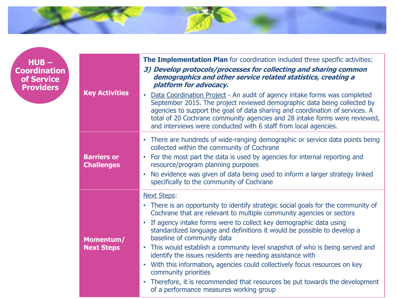

**HUB – Coordination of Service** 

| $HUB -$<br>pordination<br>of Service<br><b>Providers</b> | <b>Key Activities</b>                   | The Implementation Plan for coordination included three specific activities:<br>3) Develop protocols/processes for collecting and sharing common<br>demographics and other service related statistics, creating a<br>platform for advocacy.<br>Data Coordination Project - An audit of agency intake forms was completed<br>$\bullet$<br>September 2015. The project reviewed demographic data being collected by<br>agencies to support the goal of data sharing and coordination of services. A<br>total of 20 Cochrane community agencies and 28 intake forms were reviewed,<br>and interviews were conducted with 6 staff from local agencies.                                                                                                                   |
|----------------------------------------------------------|-----------------------------------------|----------------------------------------------------------------------------------------------------------------------------------------------------------------------------------------------------------------------------------------------------------------------------------------------------------------------------------------------------------------------------------------------------------------------------------------------------------------------------------------------------------------------------------------------------------------------------------------------------------------------------------------------------------------------------------------------------------------------------------------------------------------------|
|                                                          | <b>Barriers or</b><br><b>Challenges</b> | • There are hundreds of wide-ranging demographic or service data points being<br>collected within the community of Cochrane<br>• For the most part the data is used by agencies for internal reporting and<br>resource/program planning purposes<br>No evidence was given of data being used to inform a larger strategy linked<br>specifically to the community of Cochrane                                                                                                                                                                                                                                                                                                                                                                                         |
|                                                          | Momentum/<br><b>Next Steps</b>          | <b>Next Steps:</b><br>There is an opportunity to identify strategic social goals for the community of<br>$\bullet$<br>Cochrane that are relevant to multiple community agencies or sectors<br>• If agency intake forms were to collect key demographic data using<br>standardized language and definitions it would be possible to develop a<br>baseline of community data<br>• This would establish a community level snapshot of who is being served and<br>identify the issues residents are needing assistance with<br>With this information, agencies could collectively focus resources on key<br>$\bullet$<br>community priorities<br>• Therefore, it is recommended that resources be put towards the development<br>of a performance measures working group |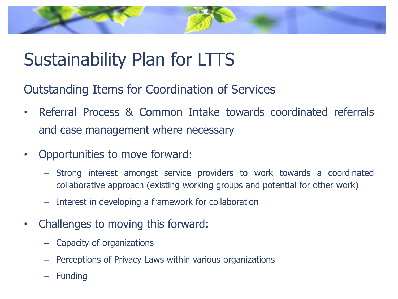## Sustainability Plan for LTTS

Outstanding Items for Coordination of Services

- Referral Process & Common Intake towards coordinated referrals and case management where necessary
- Opportunities to move forward:
	- Strong interest amongst service providers to work towards a coordinated collaborative approach (existing working groups and potential for other work)
	- Interest in developing a framework for collaboration
- Challenges to moving this forward:
	- Capacity of organizations
	- Perceptions of Privacy Laws within various organizations
	- **Funding**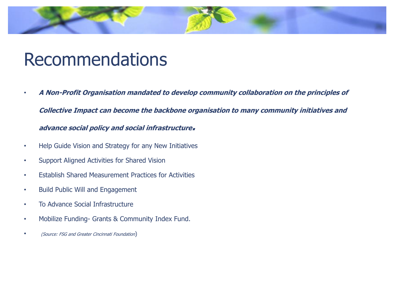## Recommendations

• **A Non-Profit Organisation mandated to develop community collaboration on the principles of** 

**Collective Impact can become the backbone organisation to many community initiatives and** 

#### **advance social policy and social infrastructure.**

- Help Guide Vision and Strategy for any New Initiatives
- Support Aligned Activities for Shared Vision
- Establish Shared Measurement Practices for Activities
- Build Public Will and Engagement
- To Advance Social Infrastructure
- Mobilize Funding- Grants & Community Index Fund.
- (Source: FSG and Greater Cincinnati Foundation)